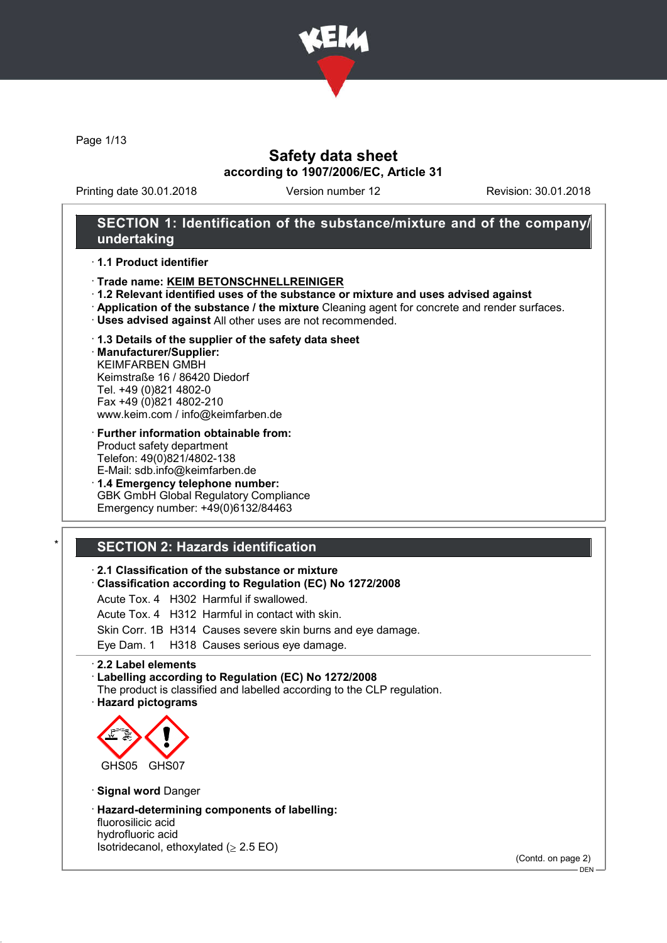

Page 1/13

## Safety data sheet according to 1907/2006/EC, Article 31

Printing date 30.01.2018 Version number 12 Revision: 30.01.2018

### SECTION 1: Identification of the substance/mixture and of the company/ undertaking

· 1.1 Product identifier

- · Trade name: KEIM BETONSCHNELLREINIGER
- · 1.2 Relevant identified uses of the substance or mixture and uses advised against
- · Application of the substance / the mixture Cleaning agent for concrete and render surfaces.
- · Uses advised against All other uses are not recommended.
- · 1.3 Details of the supplier of the safety data sheet

· Manufacturer/Supplier: KEIMFARBEN GMBH Keimstraße 16 / 86420 Diedorf Tel. +49 (0)821 4802-0 Fax +49 (0)821 4802-210 www.keim.com / info@keimfarben.de

- · Further information obtainable from: Product safety department Telefon: 49(0)821/4802-138 E-Mail: sdb.info@keimfarben.de
- · 1.4 Emergency telephone number: GBK GmbH Global Regulatory Compliance Emergency number: +49(0)6132/84463

# **SECTION 2: Hazards identification**

#### · 2.1 Classification of the substance or mixture

· Classification according to Regulation (EC) No 1272/2008

Acute Tox. 4 H302 Harmful if swallowed.

- Acute Tox. 4 H312 Harmful in contact with skin.
- Skin Corr. 1B H314 Causes severe skin burns and eye damage.

Eye Dam. 1 H318 Causes serious eye damage.

· 2.2 Label elements

- · Labelling according to Regulation (EC) No 1272/2008
- The product is classified and labelled according to the CLP regulation.

· Hazard pictograms



· Signal word Danger

· Hazard-determining components of labelling:

fluorosilicic acid hydrofluoric acid Isotridecanol, ethoxylated  $( \geq 2.5 \text{ EO})$ 

(Contd. on page 2)

 $-$  DEN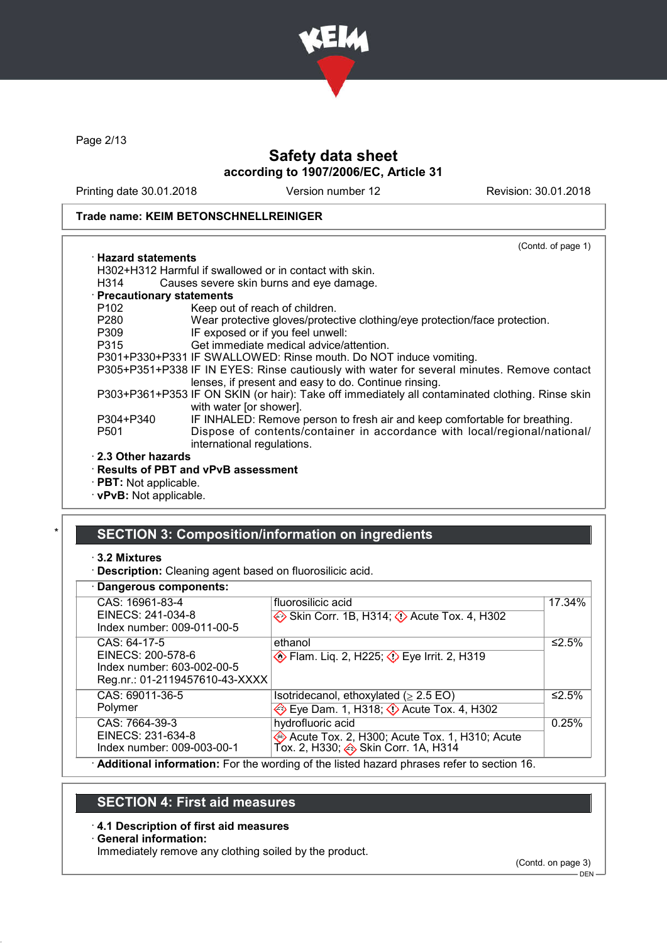

Page 2/13

# Safety data sheet according to 1907/2006/EC, Article 31

Printing date 30.01.2018 Version number 12 Revision: 30.01.2018

### Trade name: KEIM BETONSCHNELLREINIGER

|                            | (Contd. of page 1)                                                                                                                                 |
|----------------------------|----------------------------------------------------------------------------------------------------------------------------------------------------|
| $\cdot$ Hazard statements  |                                                                                                                                                    |
|                            | H302+H312 Harmful if swallowed or in contact with skin.                                                                                            |
| H314                       | Causes severe skin burns and eye damage.                                                                                                           |
| · Precautionary statements |                                                                                                                                                    |
| P <sub>102</sub>           | Keep out of reach of children.                                                                                                                     |
| P280                       | Wear protective gloves/protective clothing/eye protection/face protection.                                                                         |
| P309                       | IF exposed or if you feel unwell:                                                                                                                  |
| P315                       | Get immediate medical advice/attention.                                                                                                            |
|                            | P301+P330+P331 IF SWALLOWED: Rinse mouth. Do NOT induce vomiting.                                                                                  |
|                            | P305+P351+P338 IF IN EYES: Rinse cautiously with water for several minutes. Remove contact<br>lenses, if present and easy to do. Continue rinsing. |
|                            | P303+P361+P353 IF ON SKIN (or hair): Take off immediately all contaminated clothing. Rinse skin<br>with water [or shower].                         |
| P304+P340                  | IF INHALED: Remove person to fresh air and keep comfortable for breathing.                                                                         |
| P <sub>501</sub>           | Dispose of contents/container in accordance with local/regional/national/<br>international regulations.                                            |
| ⋅ 2.3 Other hazards        |                                                                                                                                                    |
|                            | $\cdot$ Results of PBT and vPvB assessment                                                                                                         |
| · PRT: Not annlicable.     |                                                                                                                                                    |

**PBT:** Not applicable. · vPvB: Not applicable.

# SECTION 3: Composition/information on ingredients

- · 3.2 Mixtures
- · Description: Cleaning agent based on fluorosilicic acid.

### · Dangerous components:

| CAS: 16961-83-4<br>EINECS: 241-034-8<br>Index number: 009-011-00-5                                | fluorosilicic acid<br>Skin Corr. 1B, H314; $\Diamond$ Acute Tox. 4, H302                                | 17.34% |
|---------------------------------------------------------------------------------------------------|---------------------------------------------------------------------------------------------------------|--------|
| CAS: 64-17-5<br>EINECS: 200-578-6<br>Index number: 603-002-00-5<br>Reg.nr.: 01-2119457610-43-XXXX | ethanol<br><b>Example 18 Fig. 2, H225; 4&gt; Eye Irrit. 2, H319</b>                                     | ≤2.5%  |
| CAS: 69011-36-5<br>Polymer                                                                        | Isotridecanol, ethoxylated ( $\geq$ 2.5 EO)<br>Eye Dam. 1, H318; $\Diamond$ Acute Tox. 4, H302          | ≤2.5%  |
| CAS: 7664-39-3<br>EINECS: 231-634-8<br>Index number: 009-003-00-1                                 | hydrofluoric acid<br>Acute Tox. 2, H300; Acute Tox. 1, H310; Acute<br>Tox. 2, H330; Skin Corr. 1A, H314 | 0.25%  |
|                                                                                                   | Additional information: For the wording of the listed hazard phrases refer to section 16                |        |

**dditional information:** For the wording of the listed hazard phrases refer to section 16.

## SECTION 4: First aid measures

### · 4.1 Description of first aid measures

#### · General information:

Immediately remove any clothing soiled by the product.

(Contd. on page 3)

<sup>–&</sup>lt;br>DEN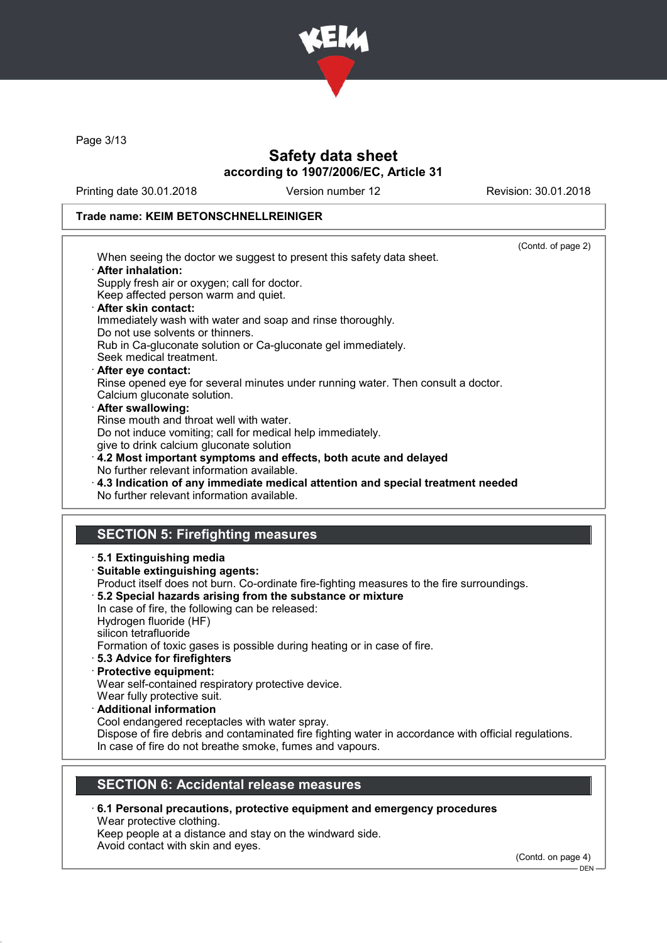

Page 3/13

# Safety data sheet according to 1907/2006/EC, Article 31

Printing date 30.01.2018 Version number 12 Revision: 30.01.2018

### Trade name: KEIM BETONSCHNELLREINIGER

|                                                                                                      | (Contd. of page 2) |
|------------------------------------------------------------------------------------------------------|--------------------|
| When seeing the doctor we suggest to present this safety data sheet.                                 |                    |
| · After inhalation:                                                                                  |                    |
| Supply fresh air or oxygen; call for doctor.                                                         |                    |
| Keep affected person warm and quiet.                                                                 |                    |
| · After skin contact:                                                                                |                    |
| Immediately wash with water and soap and rinse thoroughly.<br>Do not use solvents or thinners.       |                    |
| Rub in Ca-gluconate solution or Ca-gluconate gel immediately.                                        |                    |
| Seek medical treatment.                                                                              |                    |
| After eye contact:                                                                                   |                    |
| Rinse opened eye for several minutes under running water. Then consult a doctor.                     |                    |
| Calcium gluconate solution.                                                                          |                    |
| · After swallowing:                                                                                  |                    |
| Rinse mouth and throat well with water.                                                              |                    |
| Do not induce vomiting; call for medical help immediately.                                           |                    |
| give to drink calcium gluconate solution                                                             |                    |
| 4.2 Most important symptoms and effects, both acute and delayed                                      |                    |
| No further relevant information available.                                                           |                    |
| $\cdot$ 4.3 Indication of any immediate medical attention and special treatment needed               |                    |
| No further relevant information available.                                                           |                    |
|                                                                                                      |                    |
|                                                                                                      |                    |
| <b>SECTION 5: Firefighting measures</b>                                                              |                    |
| ⋅ 5.1 Extinguishing media                                                                            |                    |
| · Suitable extinguishing agents:                                                                     |                    |
| Product itself does not burn. Co-ordinate fire-fighting measures to the fire surroundings.           |                    |
| 5.2 Special hazards arising from the substance or mixture                                            |                    |
| In case of fire, the following can be released:                                                      |                    |
| Hydrogen fluoride (HF)                                                                               |                    |
| silicon tetrafluoride                                                                                |                    |
| Formation of toxic gases is possible during heating or in case of fire.                              |                    |
| 5.3 Advice for firefighters                                                                          |                    |
| · Protective equipment:                                                                              |                    |
| Wear self-contained respiratory protective device.                                                   |                    |
| Wear fully protective suit.                                                                          |                    |
| · Additional information                                                                             |                    |
| Cool endangered receptacles with water spray.                                                        |                    |
| Dispose of fire debris and contaminated fire fighting water in accordance with official regulations. |                    |
| In case of fire do not breathe smoke, fumes and vapours.                                             |                    |

# SECTION 6: Accidental release measures

· 6.1 Personal precautions, protective equipment and emergency procedures Wear protective clothing.

Keep people at a distance and stay on the windward side.

Avoid contact with skin and eyes.

(Contd. on page 4)

 $-$  DEN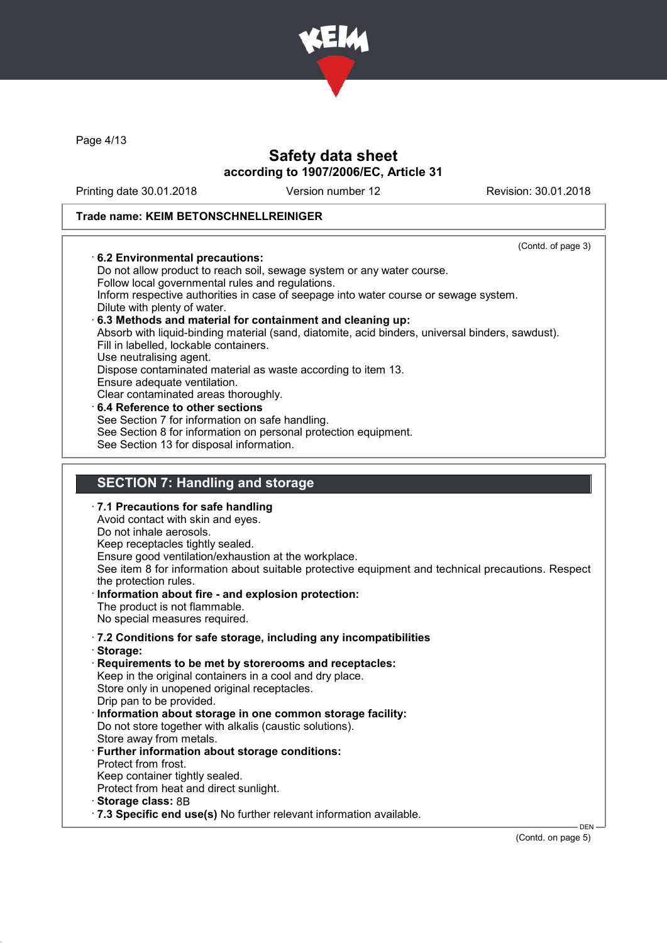

Page 4/13

## Safety data sheet according to 1907/2006/EC, Article 31

Printing date 30.01.2018 Version number 12 Revision: 30.01.2018

#### Trade name: KEIM BETONSCHNELLREINIGER

(Contd. of page 3) · 6.2 Environmental precautions: Do not allow product to reach soil, sewage system or any water course. Follow local governmental rules and regulations. Inform respective authorities in case of seepage into water course or sewage system. Dilute with plenty of water. · 6.3 Methods and material for containment and cleaning up: Absorb with liquid-binding material (sand, diatomite, acid binders, universal binders, sawdust). Fill in labelled, lockable containers. Use neutralising agent. Dispose contaminated material as waste according to item 13. Ensure adequate ventilation. Clear contaminated areas thoroughly. 6.4 Reference to other sections See Section 7 for information on safe handling. See Section 8 for information on personal protection equipment. See Section 13 for disposal information.

### SECTION 7: Handling and storage

· 7.1 Precautions for safe handling Avoid contact with skin and eyes. Do not inhale aerosols. Keep receptacles tightly sealed. Ensure good ventilation/exhaustion at the workplace. See item 8 for information about suitable protective equipment and technical precautions. Respect the protection rules. Information about fire - and explosion protection: The product is not flammable. No special measures required. · 7.2 Conditions for safe storage, including any incompatibilities · Storage: Requirements to be met by storerooms and receptacles: Keep in the original containers in a cool and dry place. Store only in unopened original receptacles. Drip pan to be provided. Information about storage in one common storage facility: Do not store together with alkalis (caustic solutions). Store away from metals. · Further information about storage conditions: Protect from frost. Keep container tightly sealed. Protect from heat and direct sunlight.

· Storage class: 8B

· 7.3 Specific end use(s) No further relevant information available.

(Contd. on page 5)

DEN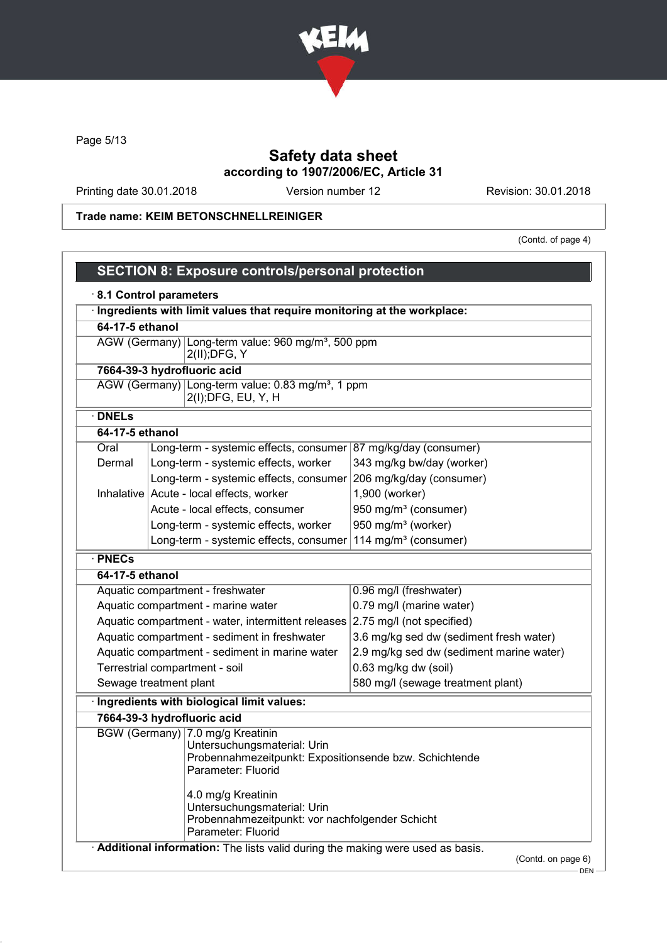

Page 5/13

# Safety data sheet according to 1907/2006/EC, Article 31

Printing date 30.01.2018 Version number 12 Revision: 30.01.2018

## Trade name: KEIM BETONSCHNELLREINIGER

(Contd. of page 4)

|                 | Ingredients with limit values that require monitoring at the workplace:                                                                                                                                                                                                       |                                          |
|-----------------|-------------------------------------------------------------------------------------------------------------------------------------------------------------------------------------------------------------------------------------------------------------------------------|------------------------------------------|
| 64-17-5 ethanol |                                                                                                                                                                                                                                                                               |                                          |
|                 | AGW (Germany) Long-term value: 960 mg/m <sup>3</sup> , 500 ppm<br>$2(II);$ DFG, Y                                                                                                                                                                                             |                                          |
|                 | 7664-39-3 hydrofluoric acid                                                                                                                                                                                                                                                   |                                          |
|                 | AGW (Germany) Long-term value: 0.83 mg/m <sup>3</sup> , 1 ppm<br>2(I); DFG, EU, Y, H                                                                                                                                                                                          |                                          |
| <b>DNELs</b>    |                                                                                                                                                                                                                                                                               |                                          |
| 64-17-5 ethanol |                                                                                                                                                                                                                                                                               |                                          |
| Oral            | Long-term - systemic effects, consumer                                                                                                                                                                                                                                        | 87 mg/kg/day (consumer)                  |
| Dermal          | Long-term - systemic effects, worker                                                                                                                                                                                                                                          | 343 mg/kg bw/day (worker)                |
|                 | Long-term - systemic effects, consumer                                                                                                                                                                                                                                        | 206 mg/kg/day (consumer)                 |
|                 | Inhalative Acute - local effects, worker                                                                                                                                                                                                                                      | 1,900 (worker)                           |
|                 | Acute - local effects, consumer                                                                                                                                                                                                                                               | 950 mg/m <sup>3</sup> (consumer)         |
|                 | Long-term - systemic effects, worker                                                                                                                                                                                                                                          | 950 mg/m <sup>3</sup> (worker)           |
|                 | Long-term - systemic effects, consumer<br>114 mg/m <sup>3</sup> (consumer)                                                                                                                                                                                                    |                                          |
| · PNECs         |                                                                                                                                                                                                                                                                               |                                          |
| 64-17-5 ethanol |                                                                                                                                                                                                                                                                               |                                          |
|                 | Aquatic compartment - freshwater                                                                                                                                                                                                                                              | 0.96 mg/l (freshwater)                   |
|                 | Aquatic compartment - marine water                                                                                                                                                                                                                                            | 0.79 mg/l (marine water)                 |
|                 | Aquatic compartment - water, intermittent releases 2.75 mg/l (not specified)                                                                                                                                                                                                  |                                          |
|                 | Aquatic compartment - sediment in freshwater                                                                                                                                                                                                                                  | 3.6 mg/kg sed dw (sediment fresh water)  |
|                 | Aquatic compartment - sediment in marine water                                                                                                                                                                                                                                | 2.9 mg/kg sed dw (sediment marine water) |
|                 | Terrestrial compartment - soil                                                                                                                                                                                                                                                | 0.63 mg/kg dw (soil)                     |
|                 | Sewage treatment plant                                                                                                                                                                                                                                                        | 580 mg/l (sewage treatment plant)        |
|                 | Ingredients with biological limit values:                                                                                                                                                                                                                                     |                                          |
|                 | 7664-39-3 hydrofluoric acid                                                                                                                                                                                                                                                   |                                          |
|                 | BGW (Germany) 7.0 mg/g Kreatinin<br>Untersuchungsmaterial: Urin<br>Probennahmezeitpunkt: Expositionsende bzw. Schichtende<br>Parameter: Fluorid<br>4.0 mg/g Kreatinin<br>Untersuchungsmaterial: Urin<br>Probennahmezeitpunkt: vor nachfolgender Schicht<br>Parameter: Fluorid |                                          |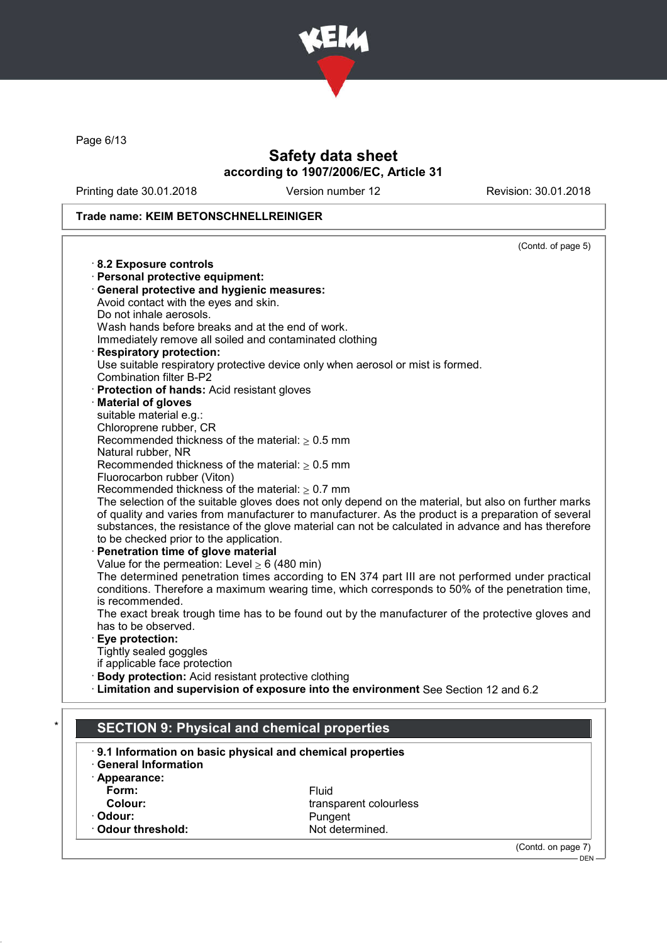

Page 6/13

# Safety data sheet according to 1907/2006/EC, Article 31

Printing date 30.01.2018 Version number 12 Revision: 30.01.2018

DEN

## Trade name: KEIM BETONSCHNELLREINIGER

| Immediately remove all soiled and contaminated clothing                                              |
|------------------------------------------------------------------------------------------------------|
|                                                                                                      |
| Use suitable respiratory protective device only when aerosol or mist is formed.                      |
|                                                                                                      |
|                                                                                                      |
|                                                                                                      |
|                                                                                                      |
|                                                                                                      |
|                                                                                                      |
|                                                                                                      |
|                                                                                                      |
|                                                                                                      |
| The selection of the suitable gloves does not only depend on the material, but also on further marks |
| of quality and varies from manufacturer to manufacturer. As the product is a preparation of several  |
| substances, the resistance of the glove material can not be calculated in advance and has therefore  |
|                                                                                                      |
|                                                                                                      |
|                                                                                                      |
| The determined penetration times according to EN 374 part III are not performed under practical      |
| conditions. Therefore a maximum wearing time, which corresponds to 50% of the penetration time,      |
|                                                                                                      |
| The exact break trough time has to be found out by the manufacturer of the protective gloves and     |
|                                                                                                      |
|                                                                                                      |
|                                                                                                      |
|                                                                                                      |
|                                                                                                      |
| · Limitation and supervision of exposure into the environment See Section 12 and 6.2                 |
|                                                                                                      |
| <b>SECTION 9: Physical and chemical properties</b>                                                   |
| 9.1 Information on basic physical and chemical properties                                            |
|                                                                                                      |
|                                                                                                      |
|                                                                                                      |
| transparent colourless                                                                               |
|                                                                                                      |
| Not determined.                                                                                      |
| (Contd. on page 7)                                                                                   |
|                                                                                                      |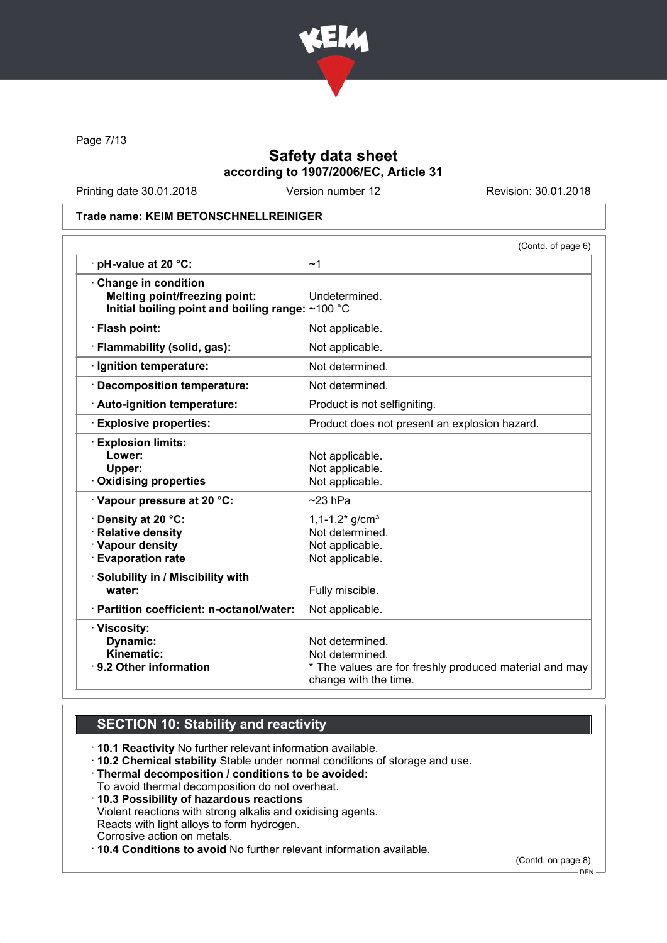

Page 7/13

## Safety data sheet according to 1907/2006/EC, Article 31

Printing date 30.01.2018 Version number 12 Revision: 30.01.2018

#### Trade name: KEIM BETONSCHNELLREINIGER

|                                                  | (Contd. of page 6)                                                              |
|--------------------------------------------------|---------------------------------------------------------------------------------|
| $\cdot$ pH-value at 20 $\degree$ C:              | ~1                                                                              |
| Change in condition                              |                                                                                 |
| <b>Melting point/freezing point:</b>             | Undetermined.                                                                   |
| Initial boiling point and boiling range: ~100 °C |                                                                                 |
| · Flash point:                                   | Not applicable.                                                                 |
| · Flammability (solid, gas):                     | Not applicable.                                                                 |
| Ignition temperature:                            | Not determined.                                                                 |
| <b>Decomposition temperature:</b>                | Not determined.                                                                 |
| · Auto-ignition temperature:                     | Product is not selfigniting.                                                    |
| <b>Explosive properties:</b>                     | Product does not present an explosion hazard.                                   |
| <b>Explosion limits:</b>                         |                                                                                 |
| Lower:                                           | Not applicable.                                                                 |
| Upper:                                           | Not applicable.                                                                 |
| Oxidising properties                             | Not applicable.                                                                 |
| Vapour pressure at 20 °C:                        | $~23$ hPa                                                                       |
| Density at 20 °C:                                | $1,1-1,2$ g/cm <sup>3</sup>                                                     |
| · Relative density                               | Not determined.                                                                 |
| · Vapour density                                 | Not applicable.                                                                 |
| <b>Evaporation rate</b>                          | Not applicable.                                                                 |
| · Solubility in / Miscibility with               |                                                                                 |
| water:                                           | Fully miscible.                                                                 |
| · Partition coefficient: n-octanol/water:        | Not applicable.                                                                 |
| · Viscosity:                                     |                                                                                 |
| Dynamic:                                         | Not determined.                                                                 |
| Kinematic:                                       | Not determined.                                                                 |
| ⋅ 9.2 Other information                          | * The values are for freshly produced material and may<br>change with the time. |

# SECTION 10: Stability and reactivity

· 10.1 Reactivity No further relevant information available.

· 10.2 Chemical stability Stable under normal conditions of storage and use.

- · Thermal decomposition / conditions to be avoided:
- To avoid thermal decomposition do not overheat.
- · 10.3 Possibility of hazardous reactions

Violent reactions with strong alkalis and oxidising agents.

Reacts with light alloys to form hydrogen.

Corrosive action on metals.

· 10.4 Conditions to avoid No further relevant information available.

(Contd. on page 8)

DEN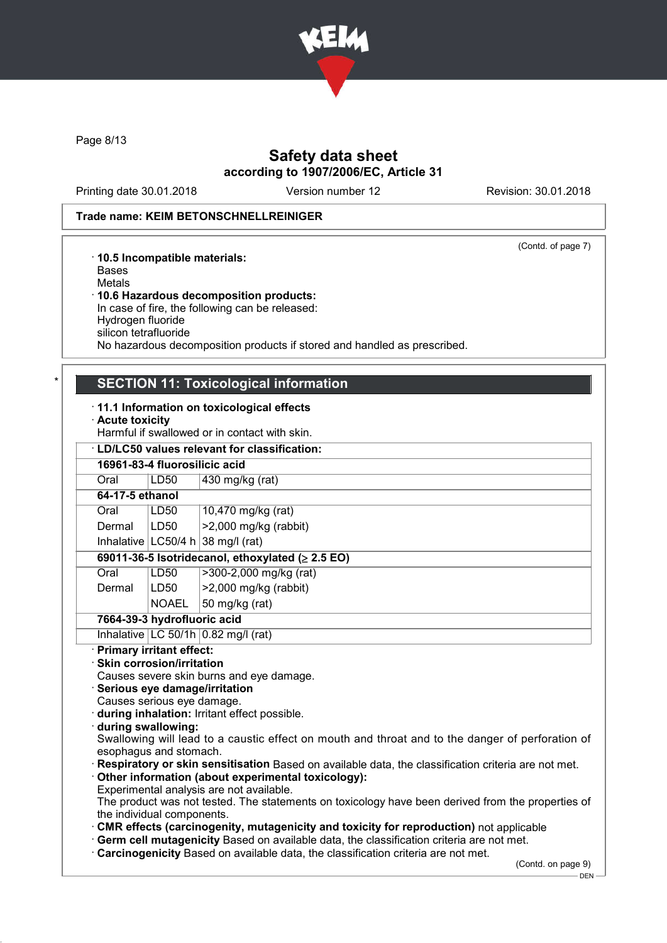

Page 8/13

## Safety data sheet according to 1907/2006/EC, Article 31

Printing date 30.01.2018 Version number 12 Revision: 30.01.2018

#### Trade name: KEIM BETONSCHNELLREINIGER

(Contd. of page 7)

#### · 10.5 Incompatible materials: Bases Metals · 10.6 Hazardous decomposition products: In case of fire, the following can be released: Hydrogen fluoride silicon tetrafluoride

No hazardous decomposition products if stored and handled as prescribed.

### **SECTION 11: Toxicological information**

#### · 11.1 Information on toxicological effects

- · Acute toxicity
- Harmful if swallowed or in contact with skin.

| <b>LD/LC50 values relevant for classification:</b>     |                                       |  |  |
|--------------------------------------------------------|---------------------------------------|--|--|
| 16961-83-4 fluorosilicic acid                          |                                       |  |  |
| LD50                                                   | 430 mg/kg (rat)                       |  |  |
| 64-17-5 ethanol                                        |                                       |  |  |
| LD50                                                   | 10,470 mg/kg (rat)                    |  |  |
| LD <sub>50</sub>                                       | >2,000 mg/kg (rabbit)                 |  |  |
|                                                        | Inhalative $ LC50/4 h 38 mg/l$ (rat)  |  |  |
| 69011-36-5 Isotridecanol, ethoxylated ( $\geq$ 2.5 EO) |                                       |  |  |
| LD50                                                   | >300-2,000 mg/kg (rat)                |  |  |
| LD50                                                   | $>2,000$ mg/kg (rabbit)               |  |  |
| <b>NOAEL</b>                                           | 50 mg/kg (rat)                        |  |  |
| 7664-39-3 hydrofluoric acid                            |                                       |  |  |
|                                                        | Inhalative $LC$ 50/1h 0.82 mg/l (rat) |  |  |
|                                                        |                                       |  |  |

#### · Primary irritant effect:

· Skin corrosion/irritation

Causes severe skin burns and eye damage.

- · Serious eye damage/irritation
- Causes serious eye damage.
- · during inhalation: Irritant effect possible.
- · during swallowing:
- Swallowing will lead to a caustic effect on mouth and throat and to the danger of perforation of esophagus and stomach.

Respiratory or skin sensitisation Based on available data, the classification criteria are not met.

- · Other information (about experimental toxicology):
- Experimental analysis are not available.

The product was not tested. The statements on toxicology have been derived from the properties of the individual components.

- · CMR effects (carcinogenity, mutagenicity and toxicity for reproduction) not applicable
- · Germ cell mutagenicity Based on available data, the classification criteria are not met.
- · Carcinogenicity Based on available data, the classification criteria are not met.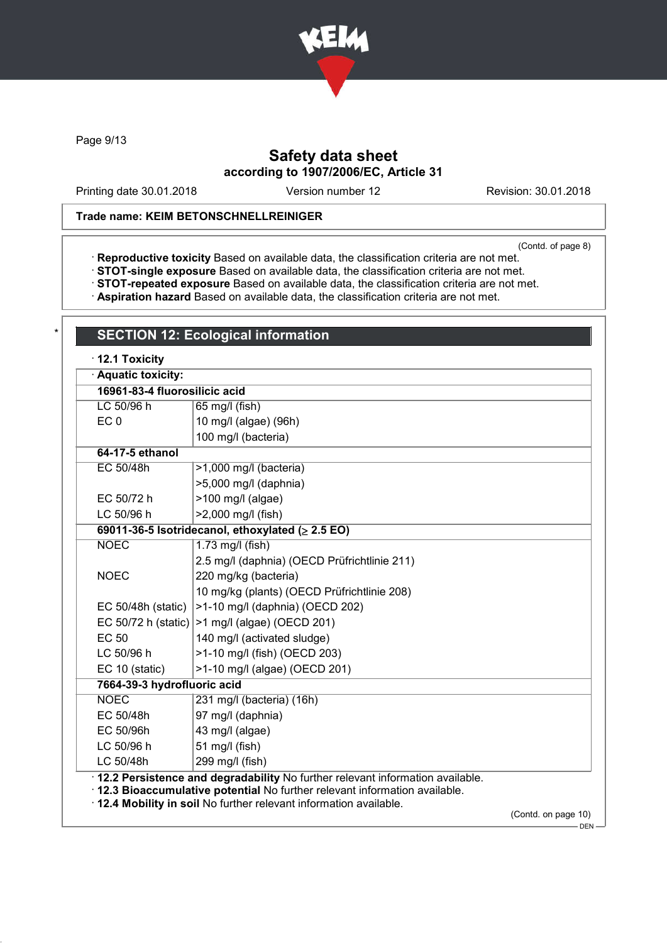

Page 9/13

## Safety data sheet according to 1907/2006/EC, Article 31

Printing date 30.01.2018 Version number 12 Revision: 30.01.2018

### Trade name: KEIM BETONSCHNELLREINIGER

**SECTION 12: Ecological information** 

(Contd. of page 8)

· Reproductive toxicity Based on available data, the classification criteria are not met.

- · STOT-single exposure Based on available data, the classification criteria are not met.
- · STOT-repeated exposure Based on available data, the classification criteria are not met.
- · Aspiration hazard Based on available data, the classification criteria are not met.

| · Aquatic toxicity:           |                                                                                                                                                                                                                                      |  |
|-------------------------------|--------------------------------------------------------------------------------------------------------------------------------------------------------------------------------------------------------------------------------------|--|
| 16961-83-4 fluorosilicic acid |                                                                                                                                                                                                                                      |  |
| LC 50/96 h                    | 65 mg/l (fish)                                                                                                                                                                                                                       |  |
| EC <sub>0</sub>               | 10 mg/l (algae) (96h)                                                                                                                                                                                                                |  |
|                               | 100 mg/l (bacteria)                                                                                                                                                                                                                  |  |
| 64-17-5 ethanol               |                                                                                                                                                                                                                                      |  |
| EC 50/48h                     | >1,000 mg/l (bacteria)                                                                                                                                                                                                               |  |
|                               | >5,000 mg/l (daphnia)                                                                                                                                                                                                                |  |
| EC 50/72 h                    | $>100$ mg/l (algae)                                                                                                                                                                                                                  |  |
| LC 50/96 h                    | >2,000 mg/l (fish)                                                                                                                                                                                                                   |  |
|                               | 69011-36-5 Isotridecanol, ethoxylated ( $\geq$ 2.5 EO)                                                                                                                                                                               |  |
| <b>NOEC</b>                   | $1.73$ mg/l (fish)                                                                                                                                                                                                                   |  |
|                               | 2.5 mg/l (daphnia) (OECD Prüfrichtlinie 211)                                                                                                                                                                                         |  |
| <b>NOEC</b>                   | 220 mg/kg (bacteria)                                                                                                                                                                                                                 |  |
|                               | 10 mg/kg (plants) (OECD Prüfrichtlinie 208)                                                                                                                                                                                          |  |
| EC 50/48h (static)            | >1-10 mg/l (daphnia) (OECD 202)                                                                                                                                                                                                      |  |
| EC 50/72 h (static)           | >1 mg/l (algae) (OECD 201)                                                                                                                                                                                                           |  |
| <b>EC 50</b>                  | 140 mg/l (activated sludge)                                                                                                                                                                                                          |  |
| LC 50/96 h                    | >1-10 mg/l (fish) (OECD 203)                                                                                                                                                                                                         |  |
| EC 10 (static)                | >1-10 mg/l (algae) (OECD 201)                                                                                                                                                                                                        |  |
| 7664-39-3 hydrofluoric acid   |                                                                                                                                                                                                                                      |  |
| <b>NOEC</b>                   | 231 mg/l (bacteria) (16h)                                                                                                                                                                                                            |  |
| EC 50/48h                     | 97 mg/l (daphnia)                                                                                                                                                                                                                    |  |
| EC 50/96h                     | 43 mg/l (algae)                                                                                                                                                                                                                      |  |
| LC 50/96 h                    | 51 mg/l (fish)                                                                                                                                                                                                                       |  |
| LC 50/48h                     | 299 mg/l (fish)                                                                                                                                                                                                                      |  |
|                               | · 12.2 Persistence and degradability No further relevant information available.<br>· 12.3 Bioaccumulative potential No further relevant information available.<br>. 12.4 Mobility in soil No further relevant information available. |  |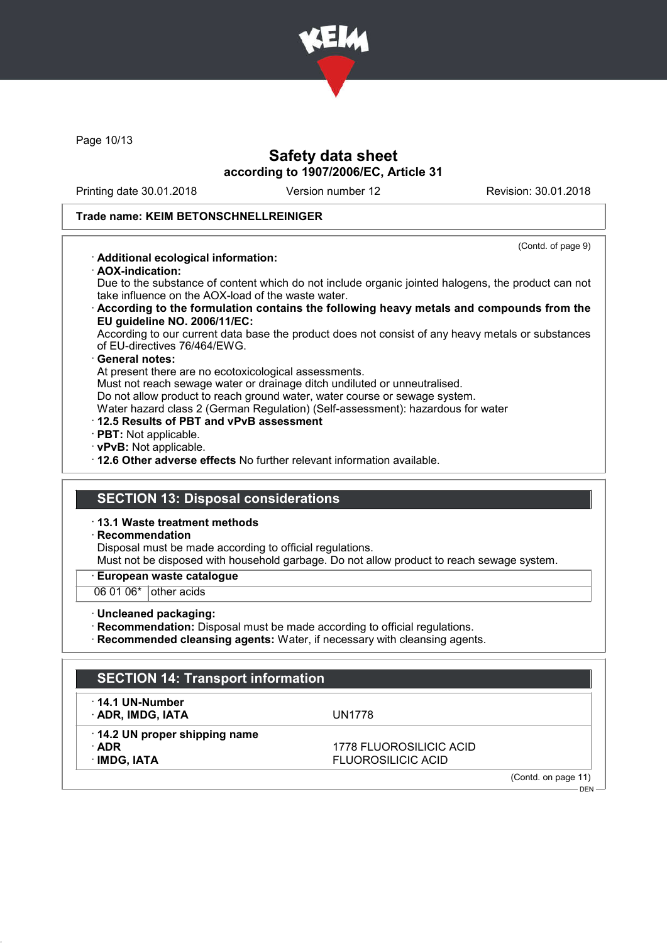

Page 10/13

## Safety data sheet according to 1907/2006/EC, Article 31

Printing date 30.01.2018 Version number 12 Revision: 30.01.2018

(Contd. of page 9)

#### Trade name: KEIM BETONSCHNELLREINIGER

#### · Additional ecological information:

· AOX-indication:

Due to the substance of content which do not include organic jointed halogens, the product can not take influence on the AOX-load of the waste water.

· According to the formulation contains the following heavy metals and compounds from the EU guideline NO. 2006/11/EC:

According to our current data base the product does not consist of any heavy metals or substances of EU-directives 76/464/EWG.

#### General notes:

At present there are no ecotoxicological assessments.

Must not reach sewage water or drainage ditch undiluted or unneutralised.

Do not allow product to reach ground water, water course or sewage system.

Water hazard class 2 (German Regulation) (Self-assessment): hazardous for water

- · 12.5 Results of PBT and vPvB assessment
- · PBT: Not applicable.
- · vPvB: Not applicable.

· 12.6 Other adverse effects No further relevant information available.

### SECTION 13: Disposal considerations

· 13.1 Waste treatment methods

#### · Recommendation

Disposal must be made according to official regulations.

Must not be disposed with household garbage. Do not allow product to reach sewage system.

#### · European waste catalogue

 $060106*$  other acids

· Uncleaned packaging:

· Recommendation: Disposal must be made according to official regulations.

· Recommended cleansing agents: Water, if necessary with cleansing agents.

| <b>SECTION 14: Transport information</b>    |                           |                     |
|---------------------------------------------|---------------------------|---------------------|
| $\cdot$ 14.1 UN-Number<br>· ADR, IMDG, IATA | UN1778                    |                     |
| 14.2 UN proper shipping name                |                           |                     |
| $\cdot$ ADR                                 | 1778 FLUOROSILICIC ACID   |                     |
| · IMDG, IATA                                | <b>FLUOROSILICIC ACID</b> |                     |
|                                             |                           | (Contd. on page 11) |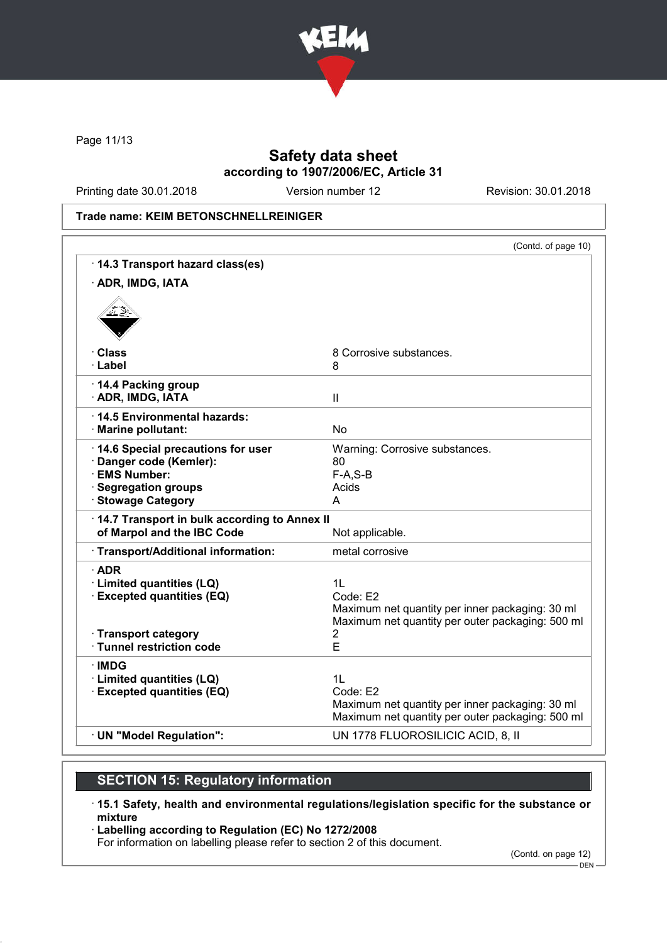

Page 11/13

## Safety data sheet according to 1907/2006/EC, Article 31

Printing date 30.01.2018 Version number 12 Revision: 30.01.2018

Trade name: KEIM BETONSCHNELLREINIGER

| 14.3 Transport hazard class(es)<br>· ADR, IMDG, IATA<br>· Class<br>8 Corrosive substances.<br>· Label<br>8<br>14.4 Packing group<br>· ADR, IMDG, IATA<br>$\mathbf{II}$<br>14.5 Environmental hazards:<br><b>No</b><br>· Marine pollutant:<br>14.6 Special precautions for user<br>Warning: Corrosive substances.<br>· Danger code (Kemler):<br>80<br>· EMS Number:<br>$F-A, S-B$<br><b>Segregation groups</b><br>Acids<br>· Stowage Category<br>A<br>14.7 Transport in bulk according to Annex II<br>of Marpol and the IBC Code<br>Not applicable.<br>· Transport/Additional information:<br>metal corrosive<br>$\cdot$ ADR<br>1 <sub>L</sub><br>· Limited quantities (LQ)<br><b>Excepted quantities (EQ)</b><br>Code: E2<br>Maximum net quantity per inner packaging: 30 ml<br>· Transport category<br>2<br>E<br>· Tunnel restriction code<br>∙IMDG<br>· Limited quantities (LQ)<br>1 <sub>L</sub><br><b>Excepted quantities (EQ)</b><br>Code: E2<br>Maximum net quantity per inner packaging: 30 ml |                          | (Contd. of page 10)                              |
|-------------------------------------------------------------------------------------------------------------------------------------------------------------------------------------------------------------------------------------------------------------------------------------------------------------------------------------------------------------------------------------------------------------------------------------------------------------------------------------------------------------------------------------------------------------------------------------------------------------------------------------------------------------------------------------------------------------------------------------------------------------------------------------------------------------------------------------------------------------------------------------------------------------------------------------------------------------------------------------------------------|--------------------------|--------------------------------------------------|
|                                                                                                                                                                                                                                                                                                                                                                                                                                                                                                                                                                                                                                                                                                                                                                                                                                                                                                                                                                                                       |                          |                                                  |
|                                                                                                                                                                                                                                                                                                                                                                                                                                                                                                                                                                                                                                                                                                                                                                                                                                                                                                                                                                                                       |                          |                                                  |
|                                                                                                                                                                                                                                                                                                                                                                                                                                                                                                                                                                                                                                                                                                                                                                                                                                                                                                                                                                                                       |                          |                                                  |
|                                                                                                                                                                                                                                                                                                                                                                                                                                                                                                                                                                                                                                                                                                                                                                                                                                                                                                                                                                                                       |                          |                                                  |
|                                                                                                                                                                                                                                                                                                                                                                                                                                                                                                                                                                                                                                                                                                                                                                                                                                                                                                                                                                                                       |                          |                                                  |
|                                                                                                                                                                                                                                                                                                                                                                                                                                                                                                                                                                                                                                                                                                                                                                                                                                                                                                                                                                                                       |                          |                                                  |
|                                                                                                                                                                                                                                                                                                                                                                                                                                                                                                                                                                                                                                                                                                                                                                                                                                                                                                                                                                                                       |                          |                                                  |
|                                                                                                                                                                                                                                                                                                                                                                                                                                                                                                                                                                                                                                                                                                                                                                                                                                                                                                                                                                                                       |                          |                                                  |
|                                                                                                                                                                                                                                                                                                                                                                                                                                                                                                                                                                                                                                                                                                                                                                                                                                                                                                                                                                                                       |                          |                                                  |
|                                                                                                                                                                                                                                                                                                                                                                                                                                                                                                                                                                                                                                                                                                                                                                                                                                                                                                                                                                                                       |                          |                                                  |
|                                                                                                                                                                                                                                                                                                                                                                                                                                                                                                                                                                                                                                                                                                                                                                                                                                                                                                                                                                                                       |                          | Maximum net quantity per outer packaging: 500 ml |
|                                                                                                                                                                                                                                                                                                                                                                                                                                                                                                                                                                                                                                                                                                                                                                                                                                                                                                                                                                                                       |                          |                                                  |
|                                                                                                                                                                                                                                                                                                                                                                                                                                                                                                                                                                                                                                                                                                                                                                                                                                                                                                                                                                                                       |                          | Maximum net quantity per outer packaging: 500 ml |
|                                                                                                                                                                                                                                                                                                                                                                                                                                                                                                                                                                                                                                                                                                                                                                                                                                                                                                                                                                                                       | · UN "Model Regulation": | UN 1778 FLUOROSILICIC ACID, 8, II                |

# SECTION 15: Regulatory information

- · 15.1 Safety, health and environmental regulations/legislation specific for the substance or mixture
- · Labelling according to Regulation (EC) No 1272/2008

For information on labelling please refer to section 2 of this document.

(Contd. on page 12)

<sup>-</sup> DEN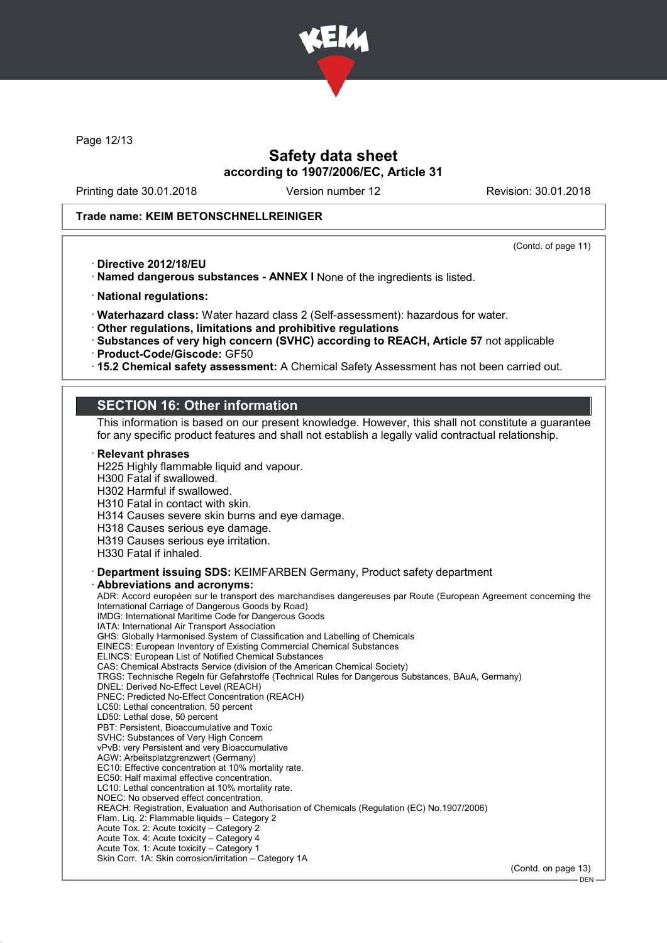

Page 12/13

## Safety data sheet according to 1907/2006/EC, Article 31

Printing date 30.01.2018 Version number 12 Revision: 30.01.2018

#### Trade name: KEIM BETONSCHNELLREINIGER

(Contd. of page 11)

· Directive 2012/18/EU

· Named dangerous substances - ANNEX I None of the ingredients is listed.

· National regulations:

· Waterhazard class: Water hazard class 2 (Self-assessment): hazardous for water.

· Other regulations, limitations and prohibitive regulations

· Substances of very high concern (SVHC) according to REACH, Article 57 not applicable

· Product-Code/Giscode: GF50

· 15.2 Chemical safety assessment: A Chemical Safety Assessment has not been carried out.

## SECTION 16: Other information

This information is based on our present knowledge. However, this shall not constitute a guarantee for any specific product features and shall not establish a legally valid contractual relationship.

#### **Relevant phrases**

H225 Highly flammable liquid and vapour.

H300 Fatal if swallowed.

H302 Harmful if swallowed.

H310 Fatal in contact with skin.

H314 Causes severe skin burns and eye damage.

H318 Causes serious eye damage.

H319 Causes serious eye irritation.

H330 Fatal if inhaled.

· Department issuing SDS: KEIMFARBEN Germany, Product safety department Abbreviations and acronyms:

ADR: Accord européen sur le transport des marchandises dangereuses par Route (European Agreement concerning the International Carriage of Dangerous Goods by Road) IMDG: International Maritime Code for Dangerous Goods IATA: International Air Transport Association GHS: Globally Harmonised System of Classification and Labelling of Chemicals EINECS: European Inventory of Existing Commercial Chemical Substances ELINCS: European List of Notified Chemical Substances CAS: Chemical Abstracts Service (division of the American Chemical Society) TRGS: Technische Regeln für Gefahrstoffe (Technical Rules for Dangerous Substances, BAuA, Germany) DNEL: Derived No-Effect Level (REACH) PNEC: Predicted No-Effect Concentration (REACH) LC50: Lethal concentration, 50 percent LD50: Lethal dose, 50 percent PBT: Persistent, Bioaccumulative and Toxic SVHC: Substances of Very High Concern vPvB: very Persistent and very Bioaccumulative AGW: Arbeitsplatzgrenzwert (Germany) EC10: Effective concentration at 10% mortality rate. EC50: Half maximal effective concentration. LC10: Lethal concentration at 10% mortality rate. NOEC: No observed effect concentration. REACH: Registration, Evaluation and Authorisation of Chemicals (Regulation (EC) No.1907/2006) Flam. Liq. 2: Flammable liquids – Category 2 Acute Tox. 2: Acute toxicity – Category 2 Acute Tox. 4: Acute toxicity – Category 4 Acute Tox. 1: Acute toxicity – Category 1 Skin Corr. 1A: Skin corrosion/irritation – Category 1A

(Contd. on page 13)

DEN